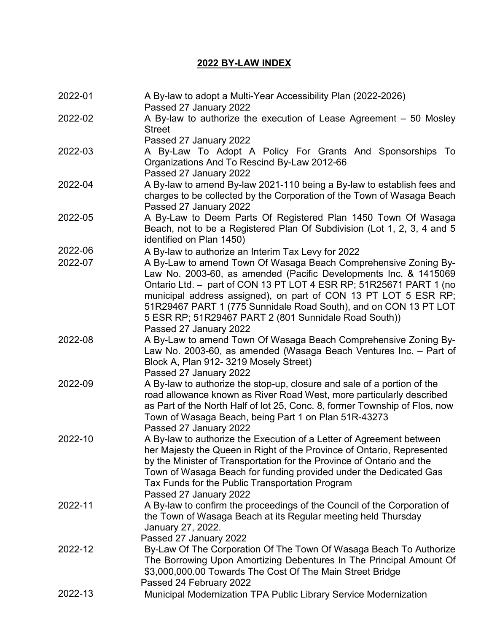## **2022 BY-LAW INDEX**

| 2022-01 | A By-law to adopt a Multi-Year Accessibility Plan (2022-2026)<br>Passed 27 January 2022                                                                                                                                                                                                                                                                                   |
|---------|---------------------------------------------------------------------------------------------------------------------------------------------------------------------------------------------------------------------------------------------------------------------------------------------------------------------------------------------------------------------------|
| 2022-02 | A By-law to authorize the execution of Lease Agreement $-50$ Mosley<br><b>Street</b>                                                                                                                                                                                                                                                                                      |
| 2022-03 | Passed 27 January 2022<br>A By-Law To Adopt A Policy For Grants And Sponsorships To<br>Organizations And To Rescind By-Law 2012-66<br>Passed 27 January 2022                                                                                                                                                                                                              |
| 2022-04 | A By-law to amend By-law 2021-110 being a By-law to establish fees and<br>charges to be collected by the Corporation of the Town of Wasaga Beach<br>Passed 27 January 2022                                                                                                                                                                                                |
| 2022-05 | A By-Law to Deem Parts Of Registered Plan 1450 Town Of Wasaga<br>Beach, not to be a Registered Plan Of Subdivision (Lot 1, 2, 3, 4 and 5<br>identified on Plan 1450)                                                                                                                                                                                                      |
| 2022-06 | A By-law to authorize an Interim Tax Levy for 2022                                                                                                                                                                                                                                                                                                                        |
| 2022-07 | A By-Law to amend Town Of Wasaga Beach Comprehensive Zoning By-<br>Law No. 2003-60, as amended (Pacific Developments Inc. & 1415069<br>Ontario Ltd. - part of CON 13 PT LOT 4 ESR RP; 51R25671 PART 1 (no<br>municipal address assigned), on part of CON 13 PT LOT 5 ESR RP;                                                                                              |
|         | 51R29467 PART 1 (775 Sunnidale Road South), and on CON 13 PT LOT<br>5 ESR RP; 51R29467 PART 2 (801 Sunnidale Road South))<br>Passed 27 January 2022                                                                                                                                                                                                                       |
| 2022-08 | A By-Law to amend Town Of Wasaga Beach Comprehensive Zoning By-<br>Law No. 2003-60, as amended (Wasaga Beach Ventures Inc. - Part of<br>Block A, Plan 912-3219 Mosely Street)<br>Passed 27 January 2022                                                                                                                                                                   |
| 2022-09 | A By-law to authorize the stop-up, closure and sale of a portion of the<br>road allowance known as River Road West, more particularly described<br>as Part of the North Half of lot 25, Conc. 8, former Township of Flos, now<br>Town of Wasaga Beach, being Part 1 on Plan 51R-43273<br>Passed 27 January 2022                                                           |
| 2022-10 | A By-law to authorize the Execution of a Letter of Agreement between<br>her Majesty the Queen in Right of the Province of Ontario, Represented<br>by the Minister of Transportation for the Province of Ontario and the<br>Town of Wasaga Beach for funding provided under the Dedicated Gas<br>Tax Funds for the Public Transportation Program<br>Passed 27 January 2022 |
| 2022-11 | A By-law to confirm the proceedings of the Council of the Corporation of<br>the Town of Wasaga Beach at its Regular meeting held Thursday<br>January 27, 2022.<br>Passed 27 January 2022                                                                                                                                                                                  |
| 2022-12 | By-Law Of The Corporation Of The Town Of Wasaga Beach To Authorize<br>The Borrowing Upon Amortizing Debentures In The Principal Amount Of<br>\$3,000,000.00 Towards The Cost Of The Main Street Bridge<br>Passed 24 February 2022                                                                                                                                         |
| 2022-13 | Municipal Modernization TPA Public Library Service Modernization                                                                                                                                                                                                                                                                                                          |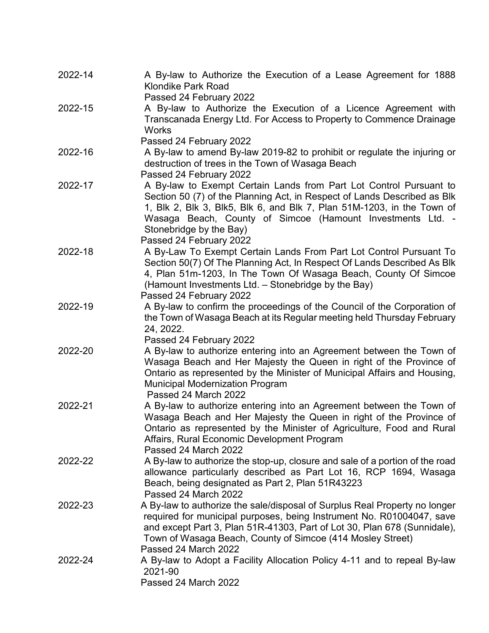| 2022-14 | A By-law to Authorize the Execution of a Lease Agreement for 1888<br><b>Klondike Park Road</b><br>Passed 24 February 2022                                                                                                                                                                                                                    |
|---------|----------------------------------------------------------------------------------------------------------------------------------------------------------------------------------------------------------------------------------------------------------------------------------------------------------------------------------------------|
| 2022-15 | A By-law to Authorize the Execution of a Licence Agreement with<br>Transcanada Energy Ltd. For Access to Property to Commence Drainage<br><b>Works</b>                                                                                                                                                                                       |
| 2022-16 | Passed 24 February 2022<br>A By-law to amend By-law 2019-82 to prohibit or regulate the injuring or<br>destruction of trees in the Town of Wasaga Beach<br>Passed 24 February 2022                                                                                                                                                           |
| 2022-17 | A By-law to Exempt Certain Lands from Part Lot Control Pursuant to<br>Section 50 (7) of the Planning Act, in Respect of Lands Described as Blk<br>1, Blk 2, Blk 3, Blk5, Blk 6, and Blk 7, Plan 51M-1203, in the Town of<br>Wasaga Beach, County of Simcoe (Hamount Investments Ltd. -<br>Stonebridge by the Bay)<br>Passed 24 February 2022 |
| 2022-18 | A By-Law To Exempt Certain Lands From Part Lot Control Pursuant To<br>Section 50(7) Of The Planning Act, In Respect Of Lands Described As Blk<br>4, Plan 51m-1203, In The Town Of Wasaga Beach, County Of Simcoe<br>(Hamount Investments Ltd. - Stonebridge by the Bay)<br>Passed 24 February 2022                                           |
| 2022-19 | A By-law to confirm the proceedings of the Council of the Corporation of<br>the Town of Wasaga Beach at its Regular meeting held Thursday February<br>24, 2022.<br>Passed 24 February 2022                                                                                                                                                   |
| 2022-20 | A By-law to authorize entering into an Agreement between the Town of<br>Wasaga Beach and Her Majesty the Queen in right of the Province of<br>Ontario as represented by the Minister of Municipal Affairs and Housing,<br><b>Municipal Modernization Program</b><br>Passed 24 March 2022                                                     |
| 2022-21 | A By-law to authorize entering into an Agreement between the Town of<br>Wasaga Beach and Her Majesty the Queen in right of the Province of<br>Ontario as represented by the Minister of Agriculture, Food and Rural<br>Affairs, Rural Economic Development Program<br>Passed 24 March 2022                                                   |
| 2022-22 | A By-law to authorize the stop-up, closure and sale of a portion of the road<br>allowance particularly described as Part Lot 16, RCP 1694, Wasaga<br>Beach, being designated as Part 2, Plan 51R43223<br>Passed 24 March 2022                                                                                                                |
| 2022-23 | A By-law to authorize the sale/disposal of Surplus Real Property no longer<br>required for municipal purposes, being Instrument No. R01004047, save<br>and except Part 3, Plan 51R-41303, Part of Lot 30, Plan 678 (Sunnidale),<br>Town of Wasaga Beach, County of Simcoe (414 Mosley Street)<br>Passed 24 March 2022                        |
| 2022-24 | A By-law to Adopt a Facility Allocation Policy 4-11 and to repeal By-law<br>2021-90<br>Passed 24 March 2022                                                                                                                                                                                                                                  |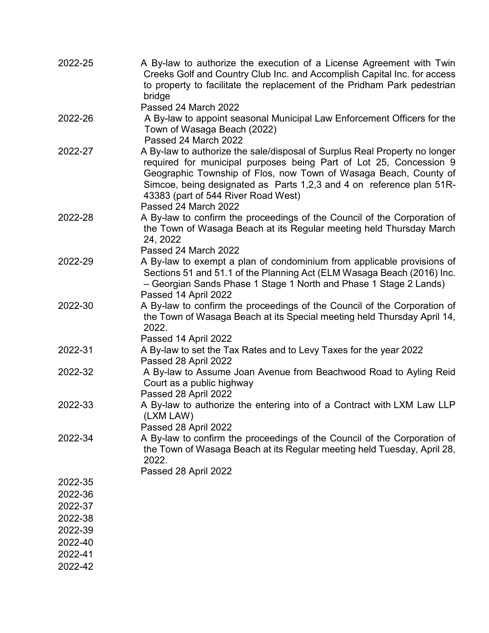| 2022-25            | A By-law to authorize the execution of a License Agreement with Twin<br>Creeks Golf and Country Club Inc. and Accomplish Capital Inc. for access<br>to property to facilitate the replacement of the Pridham Park pedestrian<br>bridge                                                                                                                      |
|--------------------|-------------------------------------------------------------------------------------------------------------------------------------------------------------------------------------------------------------------------------------------------------------------------------------------------------------------------------------------------------------|
|                    | Passed 24 March 2022                                                                                                                                                                                                                                                                                                                                        |
| 2022-26            | A By-law to appoint seasonal Municipal Law Enforcement Officers for the<br>Town of Wasaga Beach (2022)<br>Passed 24 March 2022                                                                                                                                                                                                                              |
| 2022-27            | A By-law to authorize the sale/disposal of Surplus Real Property no longer<br>required for municipal purposes being Part of Lot 25, Concession 9<br>Geographic Township of Flos, now Town of Wasaga Beach, County of<br>Simcoe, being designated as Parts 1,2,3 and 4 on reference plan 51R-<br>43383 (part of 544 River Road West)<br>Passed 24 March 2022 |
| 2022-28            | A By-law to confirm the proceedings of the Council of the Corporation of<br>the Town of Wasaga Beach at its Regular meeting held Thursday March<br>24, 2022<br>Passed 24 March 2022                                                                                                                                                                         |
| 2022-29            | A By-law to exempt a plan of condominium from applicable provisions of<br>Sections 51 and 51.1 of the Planning Act (ELM Wasaga Beach (2016) Inc.<br>- Georgian Sands Phase 1 Stage 1 North and Phase 1 Stage 2 Lands)<br>Passed 14 April 2022                                                                                                               |
| 2022-30            | A By-law to confirm the proceedings of the Council of the Corporation of<br>the Town of Wasaga Beach at its Special meeting held Thursday April 14,<br>2022.<br>Passed 14 April 2022                                                                                                                                                                        |
| 2022-31            | A By-law to set the Tax Rates and to Levy Taxes for the year 2022<br>Passed 28 April 2022                                                                                                                                                                                                                                                                   |
| 2022-32            | A By-law to Assume Joan Avenue from Beachwood Road to Ayling Reid<br>Court as a public highway<br>Passed 28 April 2022                                                                                                                                                                                                                                      |
| 2022-33            | A By-law to authorize the entering into of a Contract with LXM Law LLP<br>(LXM LAW)<br>Passed 28 April 2022                                                                                                                                                                                                                                                 |
| 2022-34            | A By-law to confirm the proceedings of the Council of the Corporation of<br>the Town of Wasaga Beach at its Regular meeting held Tuesday, April 28,<br>2022.<br>Passed 28 April 2022                                                                                                                                                                        |
| 2022-35            |                                                                                                                                                                                                                                                                                                                                                             |
| 2022-36            |                                                                                                                                                                                                                                                                                                                                                             |
| 2022-37            |                                                                                                                                                                                                                                                                                                                                                             |
| 2022-38            |                                                                                                                                                                                                                                                                                                                                                             |
| 2022-39            |                                                                                                                                                                                                                                                                                                                                                             |
|                    |                                                                                                                                                                                                                                                                                                                                                             |
| 2022-40            |                                                                                                                                                                                                                                                                                                                                                             |
| 2022-41<br>2022-42 |                                                                                                                                                                                                                                                                                                                                                             |
|                    |                                                                                                                                                                                                                                                                                                                                                             |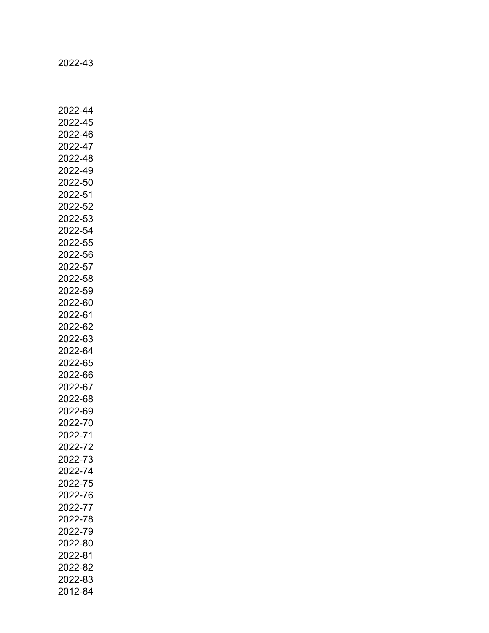2022-43

2022-44 2022-45 2022-46 2022-47 2022-48 2022-49 2022-50 2022-51 2022-52 2022-53 2022-54 2022-55 2022-56 2022-57 2022-58 2022-59 2022-60 2022-61 2022-62 2022-63 2022-64 2022-65 2022-66 2022-67 2022-68 2022-69 2022-70 2022-71 2022-72 2022-73 2022-74 2022-75 2022-76 2022-77 2022-78 2022-79 2022-80 2022-81 2022-82 2022-83 2012-84